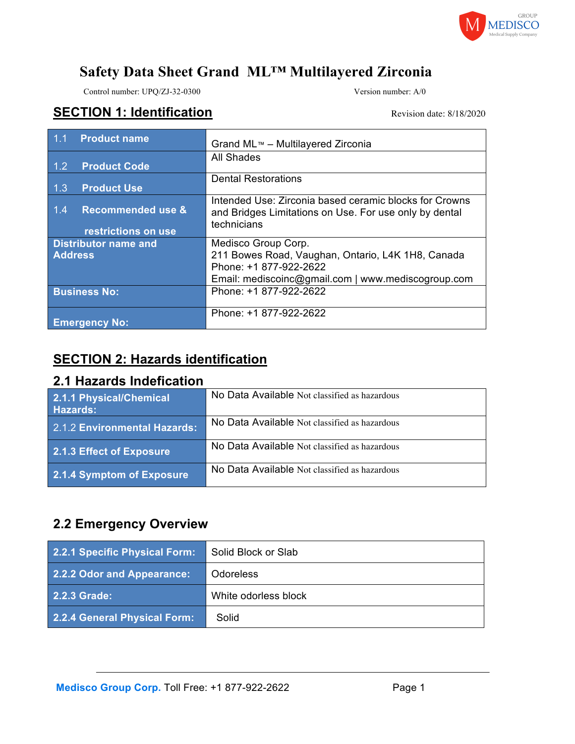

Control number: UPQ/ZJ-32-0300 Version number: A/0

### SECTION 1: Identification **SECTION 1: Identification**

| <b>Product name</b><br>1.1 <sub>1</sub>                    | Grand ML™ - Multilayered Zirconia                                                                                                                        |
|------------------------------------------------------------|----------------------------------------------------------------------------------------------------------------------------------------------------------|
| <b>Product Code</b><br>1.2 <sub>1</sub>                    | All Shades                                                                                                                                               |
| 1.3<br><b>Product Use</b>                                  | <b>Dental Restorations</b>                                                                                                                               |
| <b>Recommended use &amp;</b><br>1.4<br>restrictions on use | Intended Use: Zirconia based ceramic blocks for Crowns<br>and Bridges Limitations on Use. For use only by dental<br>technicians                          |
| <b>Distributor name and</b><br><b>Address</b>              | Medisco Group Corp.<br>211 Bowes Road, Vaughan, Ontario, L4K 1H8, Canada<br>Phone: +1 877-922-2622<br>Email: mediscoinc@gmail.com   www.mediscogroup.com |
| <b>Business No:</b>                                        | Phone: +1 877-922-2622                                                                                                                                   |
| <b>Emergency No:</b>                                       | Phone: +1 877-922-2622                                                                                                                                   |

## **SECTION 2: Hazards identification**

### **2.1 Hazards Indefication**

| 2.1.1 Physical/Chemical<br>Hazards: | No Data Available Not classified as hazardous |
|-------------------------------------|-----------------------------------------------|
| 2.1.2 Environmental Hazards:        | No Data Available Not classified as hazardous |
| 2.1.3 Effect of Exposure            | No Data Available Not classified as hazardous |
| 2.1.4 Symptom of Exposure           | No Data Available Not classified as hazardous |

## **2.2 Emergency Overview**

| 2.2.1 Specific Physical Form: | Solid Block or Slab  |
|-------------------------------|----------------------|
| 2.2.2 Odor and Appearance:    | <b>Odoreless</b>     |
| 2.2.3 Grade:                  | White odorless block |
| 2.2.4 General Physical Form:  | Solid                |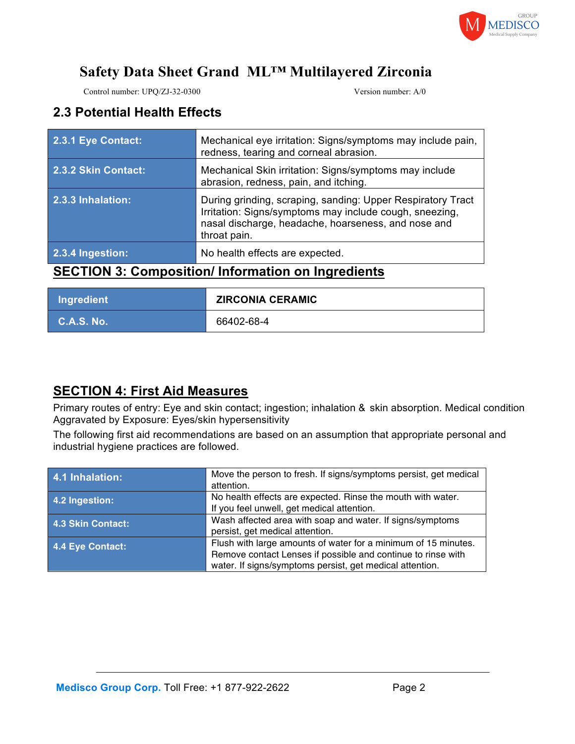

Control number: UPQ/ZJ-32-0300 Version number: A/0

## **2.3 Potential Health Effects**

| .                   | . .                                                                                                                                                                                           |
|---------------------|-----------------------------------------------------------------------------------------------------------------------------------------------------------------------------------------------|
| 2.3.4 Ingestion:    | No health effects are expected.                                                                                                                                                               |
| 2.3.3 Inhalation:   | During grinding, scraping, sanding: Upper Respiratory Tract<br>Irritation: Signs/symptoms may include cough, sneezing,<br>nasal discharge, headache, hoarseness, and nose and<br>throat pain. |
| 2.3.2 Skin Contact: | Mechanical Skin irritation: Signs/symptoms may include<br>abrasion, redness, pain, and itching.                                                                                               |
| 2.3.1 Eye Contact:  | Mechanical eye irritation: Signs/symptoms may include pain,<br>redness, tearing and corneal abrasion.                                                                                         |

### **SECTION 3: Composition/ Information on Ingredients**

| Ingredient | <b>ZIRCONIA CERAMIC</b> |
|------------|-------------------------|
| C.A.S. No. | 66402-68-4              |

## **SECTION 4: First Aid Measures**

Primary routes of entry: Eye and skin contact; ingestion; inhalation & skin absorption. Medical condition Aggravated by Exposure: Eyes/skin hypersensitivity

The following first aid recommendations are based on an assumption that appropriate personal and industrial hygiene practices are followed.

| 4.1 Inhalation:   | Move the person to fresh. If signs/symptoms persist, get medical |
|-------------------|------------------------------------------------------------------|
|                   | attention.                                                       |
| 4.2 Ingestion:    | No health effects are expected. Rinse the mouth with water.      |
|                   | If you feel unwell, get medical attention.                       |
| 4.3 Skin Contact: | Wash affected area with soap and water. If signs/symptoms        |
|                   | persist, get medical attention.                                  |
| 4.4 Eye Contact:  | Flush with large amounts of water for a minimum of 15 minutes.   |
|                   | Remove contact Lenses if possible and continue to rinse with     |
|                   | water. If signs/symptoms persist, get medical attention.         |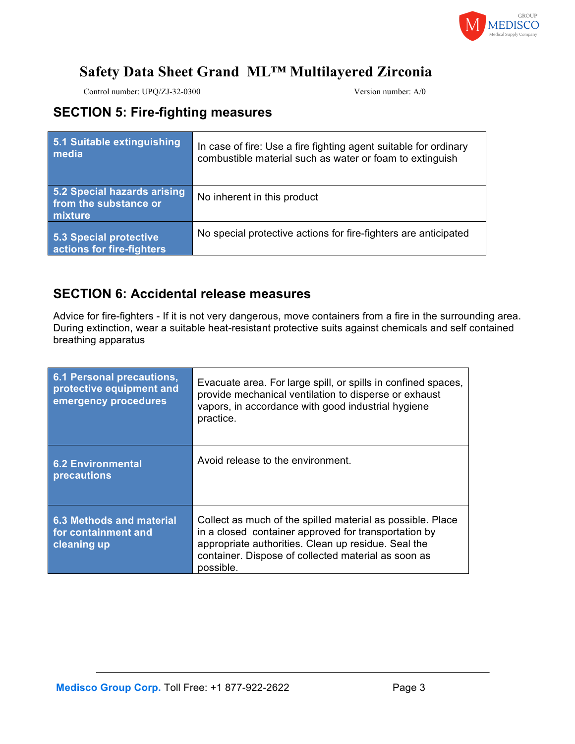

Control number: UPQ/ZJ-32-0300 Version number: A/0

### **SECTION 5: Fire-fighting measures**

| 5.1 Suitable extinguishing<br>media                             | In case of fire: Use a fire fighting agent suitable for ordinary<br>combustible material such as water or foam to extinguish |
|-----------------------------------------------------------------|------------------------------------------------------------------------------------------------------------------------------|
| 5.2 Special hazards arising<br>from the substance or<br>mixture | No inherent in this product                                                                                                  |
| 5.3 Special protective<br>actions for fire-fighters             | No special protective actions for fire-fighters are anticipated                                                              |

### **SECTION 6: Accidental release measures**

Advice for fire-fighters - If it is not very dangerous, move containers from a fire in the surrounding area. During extinction, wear a suitable heat-resistant protective suits against chemicals and self contained breathing apparatus

| 6.1 Personal precautions,<br>protective equipment and<br>emergency procedures | Evacuate area. For large spill, or spills in confined spaces,<br>provide mechanical ventilation to disperse or exhaust<br>vapors, in accordance with good industrial hygiene<br>practice.                                                     |
|-------------------------------------------------------------------------------|-----------------------------------------------------------------------------------------------------------------------------------------------------------------------------------------------------------------------------------------------|
| <b>6.2 Environmental</b><br>precautions                                       | Avoid release to the environment.                                                                                                                                                                                                             |
| 6.3 Methods and material<br>for containment and<br>cleaning up                | Collect as much of the spilled material as possible. Place<br>in a closed container approved for transportation by<br>appropriate authorities. Clean up residue. Seal the<br>container. Dispose of collected material as soon as<br>possible. |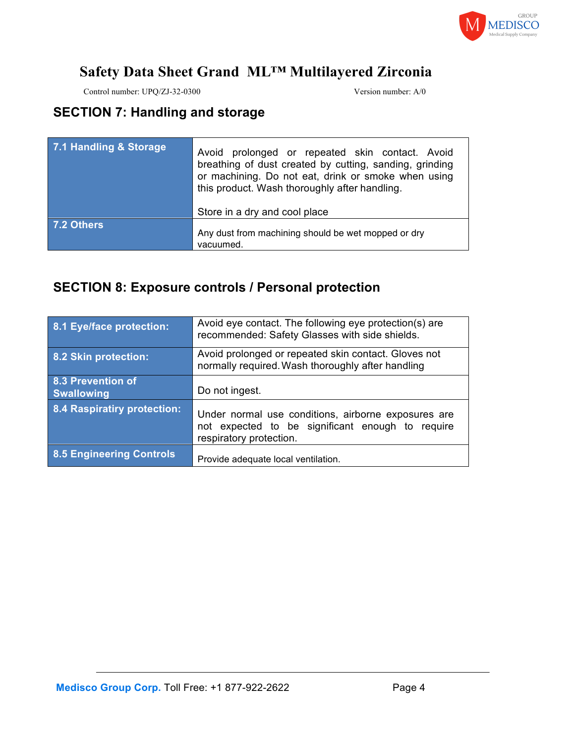

Control number: UPQ/ZJ-32-0300 Version number: A/0

## **SECTION 7: Handling and storage**

| 7.1 Handling & Storage | Avoid prolonged or repeated skin contact. Avoid<br>breathing of dust created by cutting, sanding, grinding<br>or machining. Do not eat, drink or smoke when using<br>this product. Wash thoroughly after handling. |  |
|------------------------|--------------------------------------------------------------------------------------------------------------------------------------------------------------------------------------------------------------------|--|
|                        | Store in a dry and cool place                                                                                                                                                                                      |  |
| 7.2 Others             | Any dust from machining should be wet mopped or dry<br>vacuumed.                                                                                                                                                   |  |

# **SECTION 8: Exposure controls / Personal protection**

| 8.1 Eye/face protection:               | Avoid eye contact. The following eye protection(s) are<br>recommended: Safety Glasses with side shields.                           |
|----------------------------------------|------------------------------------------------------------------------------------------------------------------------------------|
| 8.2 Skin protection:                   | Avoid prolonged or repeated skin contact. Gloves not<br>normally required. Wash thoroughly after handling                          |
| 8.3 Prevention of<br><b>Swallowing</b> | Do not ingest.                                                                                                                     |
| <b>8.4 Raspiratiry protection:</b>     | Under normal use conditions, airborne exposures are<br>not expected to be significant enough to require<br>respiratory protection. |
| <b>8.5 Engineering Controls</b>        | Provide adequate local ventilation.                                                                                                |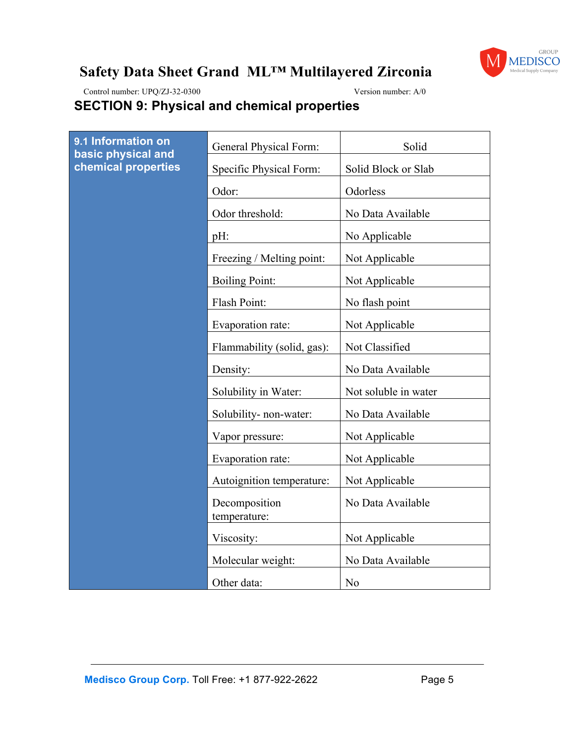

Control number: UPQ/ZJ-32-0300 Version number: A/0

# **SECTION 9: Physical and chemical properties**

| 9.1 Information on<br>basic physical and<br>chemical properties | General Physical Form:        | Solid                |
|-----------------------------------------------------------------|-------------------------------|----------------------|
|                                                                 | Specific Physical Form:       | Solid Block or Slab  |
|                                                                 | Odor:                         | Odorless             |
|                                                                 | Odor threshold:               | No Data Available    |
|                                                                 | $pH$ :                        | No Applicable        |
|                                                                 | Freezing / Melting point:     | Not Applicable       |
|                                                                 | <b>Boiling Point:</b>         | Not Applicable       |
|                                                                 | Flash Point:                  | No flash point       |
|                                                                 | Evaporation rate:             | Not Applicable       |
|                                                                 | Flammability (solid, gas):    | Not Classified       |
|                                                                 | Density:                      | No Data Available    |
|                                                                 | Solubility in Water:          | Not soluble in water |
|                                                                 | Solubility- non-water:        | No Data Available    |
|                                                                 | Vapor pressure:               | Not Applicable       |
|                                                                 | Evaporation rate:             | Not Applicable       |
|                                                                 | Autoignition temperature:     | Not Applicable       |
|                                                                 | Decomposition<br>temperature: | No Data Available    |
|                                                                 | Viscosity:                    | Not Applicable       |
|                                                                 | Molecular weight:             | No Data Available    |
|                                                                 | Other data:                   | N <sub>0</sub>       |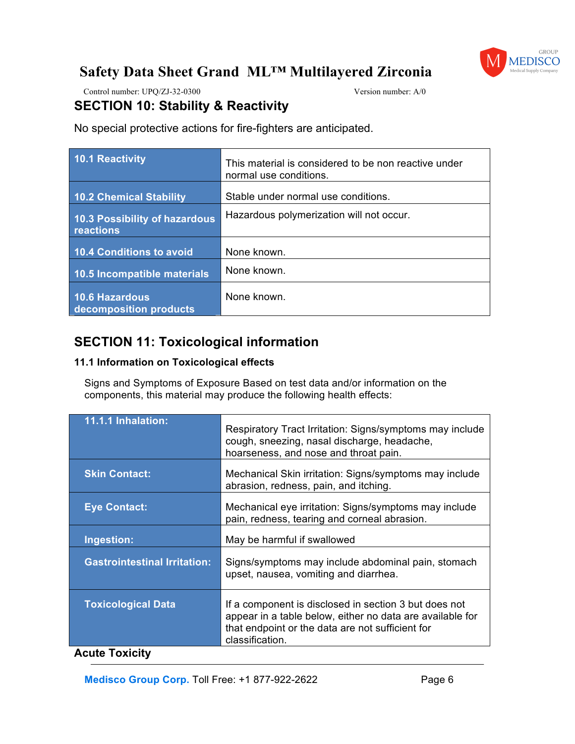

Control number: UPQ/ZJ-32-0300 Version number: A/0

### **SECTION 10: Stability & Reactivity**

No special protective actions for fire-fighters are anticipated.

| 10.1 Reactivity                            | This material is considered to be non reactive under<br>normal use conditions. |
|--------------------------------------------|--------------------------------------------------------------------------------|
| 10.2 Chemical Stability                    | Stable under normal use conditions.                                            |
| 10.3 Possibility of hazardous<br>reactions | Hazardous polymerization will not occur.                                       |
| 10.4 Conditions to avoid                   | None known.                                                                    |
| 10.5 Incompatible materials                | None known.                                                                    |
| 10.6 Hazardous<br>decomposition products   | None known.                                                                    |

## **SECTION 11: Toxicological information**

#### **11.1 Information on Toxicological effects**

Signs and Symptoms of Exposure Based on test data and/or information on the components, this material may produce the following health effects:

| 11.1.1 Inhalation:                  | Respiratory Tract Irritation: Signs/symptoms may include<br>cough, sneezing, nasal discharge, headache,<br>hoarseness, and nose and throat pain.                                          |
|-------------------------------------|-------------------------------------------------------------------------------------------------------------------------------------------------------------------------------------------|
| <b>Skin Contact:</b>                | Mechanical Skin irritation: Signs/symptoms may include<br>abrasion, redness, pain, and itching.                                                                                           |
| <b>Eye Contact:</b>                 | Mechanical eye irritation: Signs/symptoms may include<br>pain, redness, tearing and corneal abrasion.                                                                                     |
| Ingestion:                          | May be harmful if swallowed                                                                                                                                                               |
| <b>Gastrointestinal Irritation:</b> | Signs/symptoms may include abdominal pain, stomach<br>upset, nausea, vomiting and diarrhea.                                                                                               |
| <b>Toxicological Data</b>           | If a component is disclosed in section 3 but does not<br>appear in a table below, either no data are available for<br>that endpoint or the data are not sufficient for<br>classification. |
| Acute Texicity                      |                                                                                                                                                                                           |

#### **Acute Toxicity**

**Medisco Group Corp. Toll Free: +1 877-922-2622** Page 6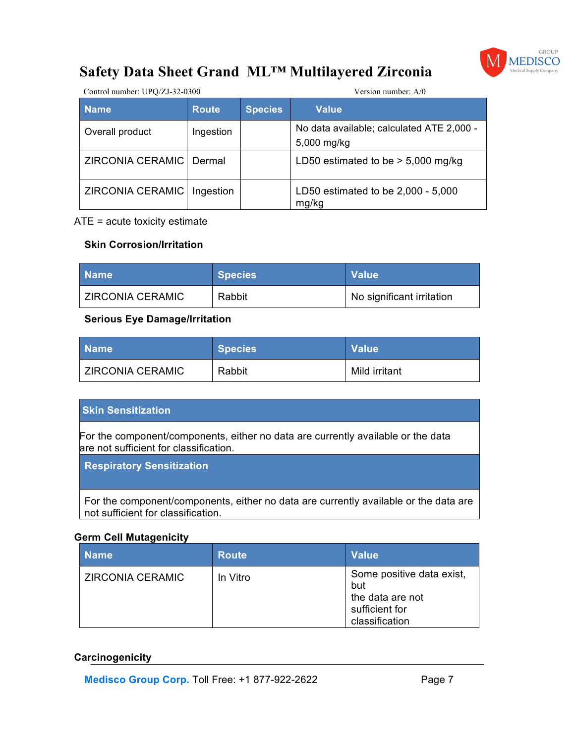

| Control number: UPQ/ZJ-32-0300 |              |                | Version number: $A/0$                                    |  |
|--------------------------------|--------------|----------------|----------------------------------------------------------|--|
| <b>Name</b>                    | <b>Route</b> | <b>Species</b> | <b>Value</b>                                             |  |
| Overall product                | Ingestion    |                | No data available; calculated ATE 2,000 -<br>5,000 mg/kg |  |
| ZIRCONIA CERAMIC               | Dermal       |                | LD50 estimated to be $>$ 5,000 mg/kg                     |  |
| ZIRCONIA CERAMIC               | Ingestion    |                | LD50 estimated to be 2,000 - 5,000<br>mg/kg              |  |

#### ATE = acute toxicity estimate

#### **Skin Corrosion/Irritation**

| <b>Name</b>             | Species <sup>1</sup> | <b>Value</b>              |
|-------------------------|----------------------|---------------------------|
| <b>ZIRCONIA CERAMIC</b> | Rabbit               | No significant irritation |

#### **Serious Eye Damage/Irritation**

| <b>Name</b>      | <b>Species</b> | l Value\      |
|------------------|----------------|---------------|
| ZIRCONIA CERAMIC | Rabbit         | Mild irritant |

#### **Skin Sensitization**

For the component/components, either no data are currently available or the data are not sufficient for classification.

**Respiratory Sensitization**

For the component/components, either no data are currently available or the data are not sufficient for classification.

#### **Germ Cell Mutagenicity**

| <b>Name</b>      | <b>Route</b> | <b>Value</b>                                                                             |
|------------------|--------------|------------------------------------------------------------------------------------------|
| ZIRCONIA CERAMIC | In Vitro     | Some positive data exist,<br>but<br>the data are not<br>sufficient for<br>classification |

#### **Carcinogenicity**

**Medisco Group Corp. Toll Free: +1 877-922-2622 Page 7**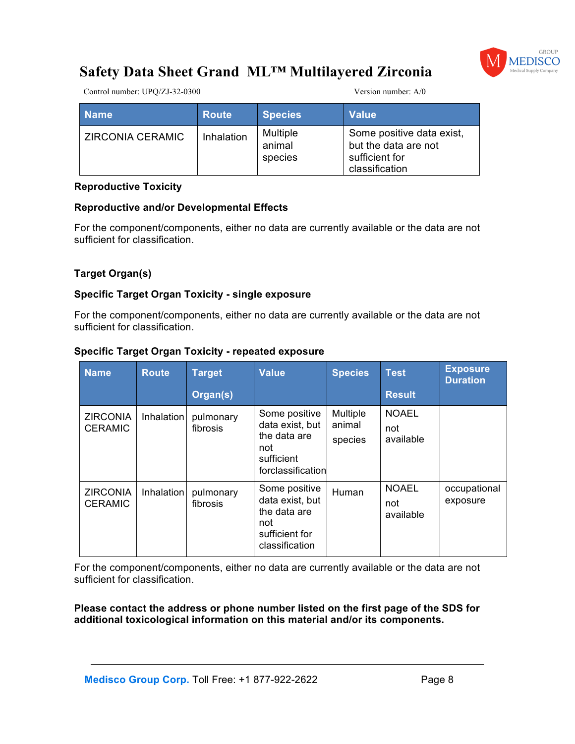

Control number: UPQ/ZJ-32-0300 Version number: A/0

| <b>Name</b>      | <b>Route</b> | <b>Species</b>                | <b>Value</b>                                                                          |
|------------------|--------------|-------------------------------|---------------------------------------------------------------------------------------|
| ZIRCONIA CERAMIC | Inhalation   | Multiple<br>animal<br>species | Some positive data exist,<br>but the data are not<br>sufficient for<br>classification |

#### **Reproductive Toxicity**

#### **Reproductive and/or Developmental Effects**

For the component/components, either no data are currently available or the data are not sufficient for classification.

#### **Target Organ(s)**

#### **Specific Target Organ Toxicity - single exposure**

For the component/components, either no data are currently available or the data are not sufficient for classification.

| <b>Name</b>                       | <b>Route</b> | <b>Target</b>         | <b>Value</b>                                                                                | <b>Species</b>                | <b>Test</b>                      | <b>Exposure</b><br><b>Duration</b> |
|-----------------------------------|--------------|-----------------------|---------------------------------------------------------------------------------------------|-------------------------------|----------------------------------|------------------------------------|
|                                   |              | Organ(s)              |                                                                                             |                               | <b>Result</b>                    |                                    |
| <b>ZIRCONIA</b><br><b>CERAMIC</b> | Inhalation   | pulmonary<br>fibrosis | Some positive<br>data exist, but<br>the data are<br>not<br>sufficient<br>forclassification  | Multiple<br>animal<br>species | <b>NOAEL</b><br>not<br>available |                                    |
| <b>ZIRCONIA</b><br><b>CERAMIC</b> | Inhalation   | pulmonary<br>fibrosis | Some positive<br>data exist, but<br>the data are<br>not<br>sufficient for<br>classification | Human                         | <b>NOAEL</b><br>not<br>available | occupational<br>exposure           |

#### **Specific Target Organ Toxicity - repeated exposure**

For the component/components, either no data are currently available or the data are not sufficient for classification.

**Please contact the address or phone number listed on the first page of the SDS for additional toxicological information on this material and/or its components.**